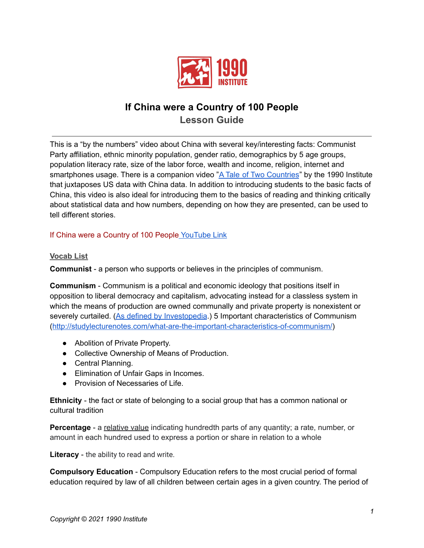

# **If China were a Country of 100 People Lesson Guide**

This is a "by the numbers" video about China with several key/interesting facts: Communist Party affiliation, ethnic minority population, gender ratio, demographics by 5 age groups, population literacy rate, size of the labor force, wealth and income, religion, internet and smartphones usage. There is a companion video "A Tale of Two [Countries](https://youtu.be/OiuWJmzSeAc)" by the 1990 Institute that juxtaposes US data with China data. In addition to introducing students to the basic facts of China, this video is also ideal for introducing them to the basics of reading and thinking critically about statistical data and how numbers, depending on how they are presented, can be used to tell different stories.

### If China were a Country of 100 People [YouTube](https://youtu.be/Qls13xdQEO8) Link

#### **Vocab List**

**Communist** - a person who supports or believes in the principles of communism.

**Communism** - Communism is a political and economic ideology that positions itself in opposition to liberal democracy and capitalism, advocating instead for a classless system in which the means of production are owned communally and private property is nonexistent or severely curtailed. (As defined by [Investopedia](https://www.investopedia.com/terms/c/communism.asp).) 5 Important characteristics of Communism (<http://studylecturenotes.com/what-are-the-important-characteristics-of-communism/>)

- Abolition of Private Property.
- Collective Ownership of Means of Production.
- Central Planning.
- Elimination of Unfair Gaps in Incomes.
- Provision of Necessaries of Life.

**Ethnicity** - the fact or state of belonging to a social group that has a common national or cultural tradition

**Percentage** - a relative value indicating hundredth parts of any quantity; a rate, number, or amount in each hundred used to express a portion or share in relation to a whole

**Literacy** - the ability to read and write.

**Compulsory Education** - Compulsory Education refers to the most crucial period of formal education required by law of all children between certain ages in a given country. The period of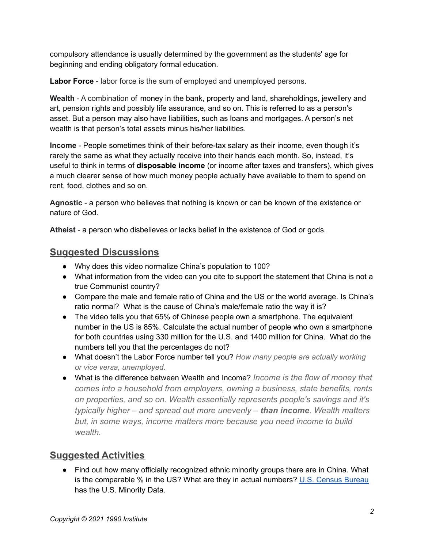compulsory attendance is usually determined by the government as the students' age for beginning and ending obligatory formal education.

**Labor Force** - labor force is the sum of employed and unemployed persons.

**Wealth** - A combination of money in the bank, property and land, shareholdings, jewellery and art, pension rights and possibly life assurance, and so on. This is referred to as a person's asset. But a person may also have liabilities, such as loans and mortgages. A person's net wealth is that person's total assets minus his/her liabilities.

**Income** - People sometimes think of their before-tax salary as their income, even though it's rarely the same as what they actually receive into their hands each month. So, instead, it's useful to think in terms of **disposable income** (or income after taxes and transfers), which gives a much clearer sense of how much money people actually have available to them to spend on rent, food, clothes and so on.

**Agnostic** - a person who believes that nothing is known or can be known of the existence or nature of God.

**Atheist** - a person who disbelieves or lacks belief in the existence of God or gods.

### **Suggested Discussions**

- Why does this video normalize China's population to 100?
- What information from the video can you cite to support the statement that China is not a true Communist country?
- Compare the male and female ratio of China and the US or the world average. Is China's ratio normal? What is the cause of China's male/female ratio the way it is?
- The video tells you that 65% of Chinese people own a smartphone. The equivalent number in the US is 85%. Calculate the actual number of people who own a smartphone for both countries using 330 million for the U.S. and 1400 million for China. What do the numbers tell you that the percentages do not?
- What doesn't the Labor Force number tell you? *How many people are actually working or vice versa, unemployed.*
- What is the difference between Wealth and Income? *Income is the flow of money that comes into a household from employers, owning a business, state benefits, rents on properties, and so on. Wealth essentially represents people's savings and it's typically higher – and spread out more unevenly – than income. Wealth matters but, in some ways, income matters more because you need income to build wealth.*

## **Suggested Activities**

● Find out how many officially recognized ethnic minority groups there are in China. What is the comparable % in the US? What are they in actual numbers? U.S. [Census](https://www.census.gov/quickfacts/fact/table/US/PST045219) Bureau has the U.S. Minority Data.